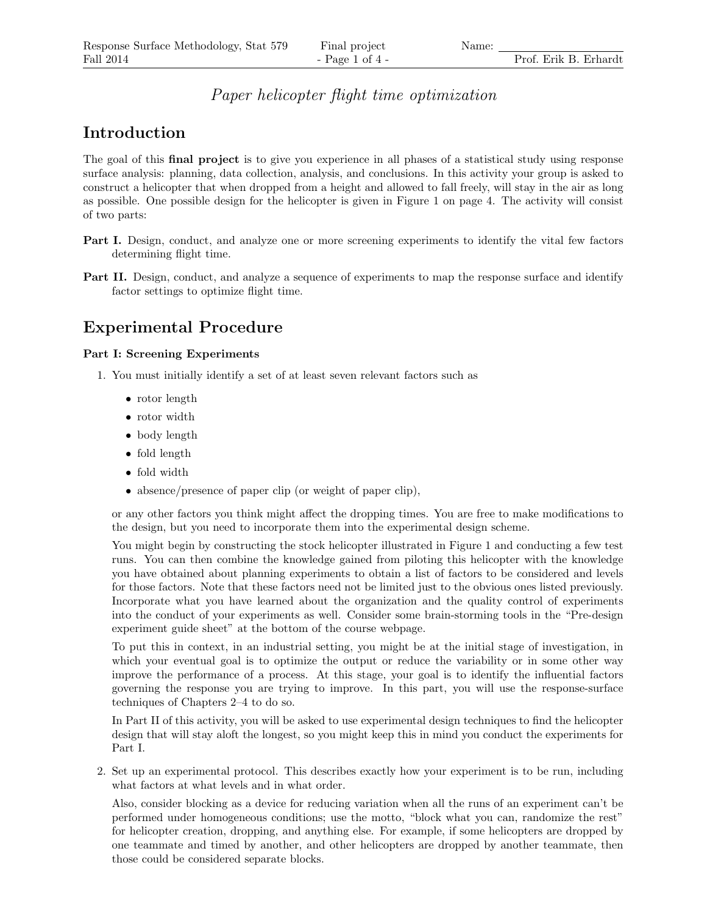### Paper helicopter flight time optimization

## Introduction

The goal of this final project is to give you experience in all phases of a statistical study using response surface analysis: planning, data collection, analysis, and conclusions. In this activity your group is asked to construct a helicopter that when dropped from a height and allowed to fall freely, will stay in the air as long as possible. One possible design for the helicopter is given in Figure 1 on page 4. The activity will consist of two parts:

- Part I. Design, conduct, and analyze one or more screening experiments to identify the vital few factors determining flight time.
- Part II. Design, conduct, and analyze a sequence of experiments to map the response surface and identify factor settings to optimize flight time.

## Experimental Procedure

#### Part I: Screening Experiments

- 1. You must initially identify a set of at least seven relevant factors such as
	- rotor length
	- rotor width
	- body length
	- fold length
	- fold width
	- absence/presence of paper clip (or weight of paper clip),

or any other factors you think might affect the dropping times. You are free to make modifications to the design, but you need to incorporate them into the experimental design scheme.

You might begin by constructing the stock helicopter illustrated in Figure 1 and conducting a few test runs. You can then combine the knowledge gained from piloting this helicopter with the knowledge you have obtained about planning experiments to obtain a list of factors to be considered and levels for those factors. Note that these factors need not be limited just to the obvious ones listed previously. Incorporate what you have learned about the organization and the quality control of experiments into the conduct of your experiments as well. Consider some brain-storming tools in the "Pre-design experiment guide sheet" at the bottom of the course webpage.

To put this in context, in an industrial setting, you might be at the initial stage of investigation, in which your eventual goal is to optimize the output or reduce the variability or in some other way improve the performance of a process. At this stage, your goal is to identify the influential factors governing the response you are trying to improve. In this part, you will use the response-surface techniques of Chapters 2–4 to do so.

In Part II of this activity, you will be asked to use experimental design techniques to find the helicopter design that will stay aloft the longest, so you might keep this in mind you conduct the experiments for Part I.

2. Set up an experimental protocol. This describes exactly how your experiment is to be run, including what factors at what levels and in what order.

Also, consider blocking as a device for reducing variation when all the runs of an experiment can't be performed under homogeneous conditions; use the motto, "block what you can, randomize the rest" for helicopter creation, dropping, and anything else. For example, if some helicopters are dropped by one teammate and timed by another, and other helicopters are dropped by another teammate, then those could be considered separate blocks.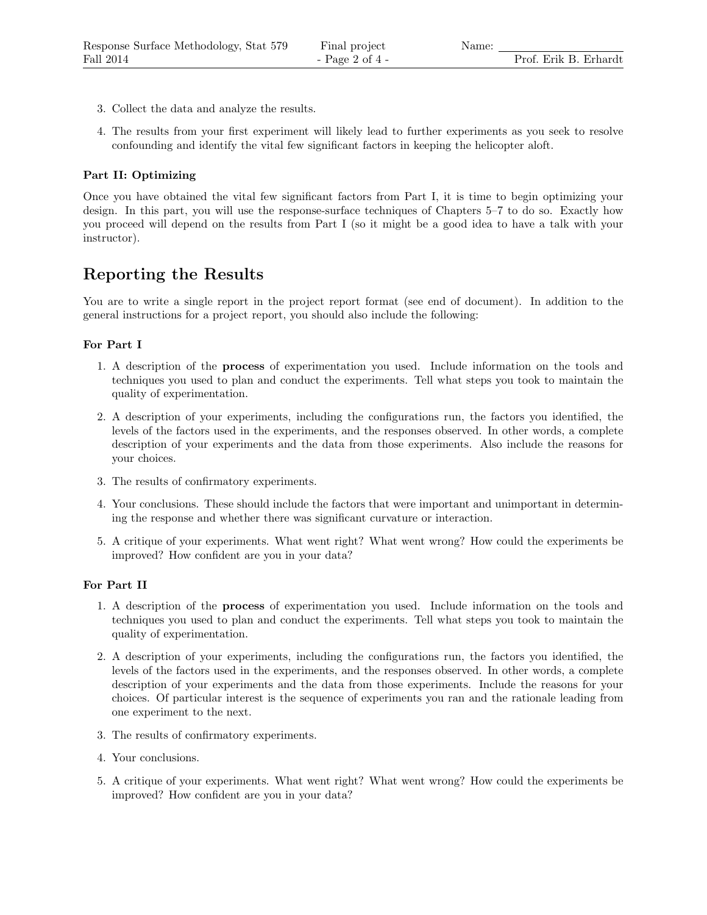- 3. Collect the data and analyze the results.
- 4. The results from your first experiment will likely lead to further experiments as you seek to resolve confounding and identify the vital few significant factors in keeping the helicopter aloft.

#### Part II: Optimizing

Once you have obtained the vital few significant factors from Part I, it is time to begin optimizing your design. In this part, you will use the response-surface techniques of Chapters 5–7 to do so. Exactly how you proceed will depend on the results from Part I (so it might be a good idea to have a talk with your instructor).

## Reporting the Results

You are to write a single report in the project report format (see end of document). In addition to the general instructions for a project report, you should also include the following:

#### For Part I

- 1. A description of the process of experimentation you used. Include information on the tools and techniques you used to plan and conduct the experiments. Tell what steps you took to maintain the quality of experimentation.
- 2. A description of your experiments, including the configurations run, the factors you identified, the levels of the factors used in the experiments, and the responses observed. In other words, a complete description of your experiments and the data from those experiments. Also include the reasons for your choices.
- 3. The results of confirmatory experiments.
- 4. Your conclusions. These should include the factors that were important and unimportant in determining the response and whether there was significant curvature or interaction.
- 5. A critique of your experiments. What went right? What went wrong? How could the experiments be improved? How confident are you in your data?

#### For Part II

- 1. A description of the process of experimentation you used. Include information on the tools and techniques you used to plan and conduct the experiments. Tell what steps you took to maintain the quality of experimentation.
- 2. A description of your experiments, including the configurations run, the factors you identified, the levels of the factors used in the experiments, and the responses observed. In other words, a complete description of your experiments and the data from those experiments. Include the reasons for your choices. Of particular interest is the sequence of experiments you ran and the rationale leading from one experiment to the next.
- 3. The results of confirmatory experiments.
- 4. Your conclusions.
- 5. A critique of your experiments. What went right? What went wrong? How could the experiments be improved? How confident are you in your data?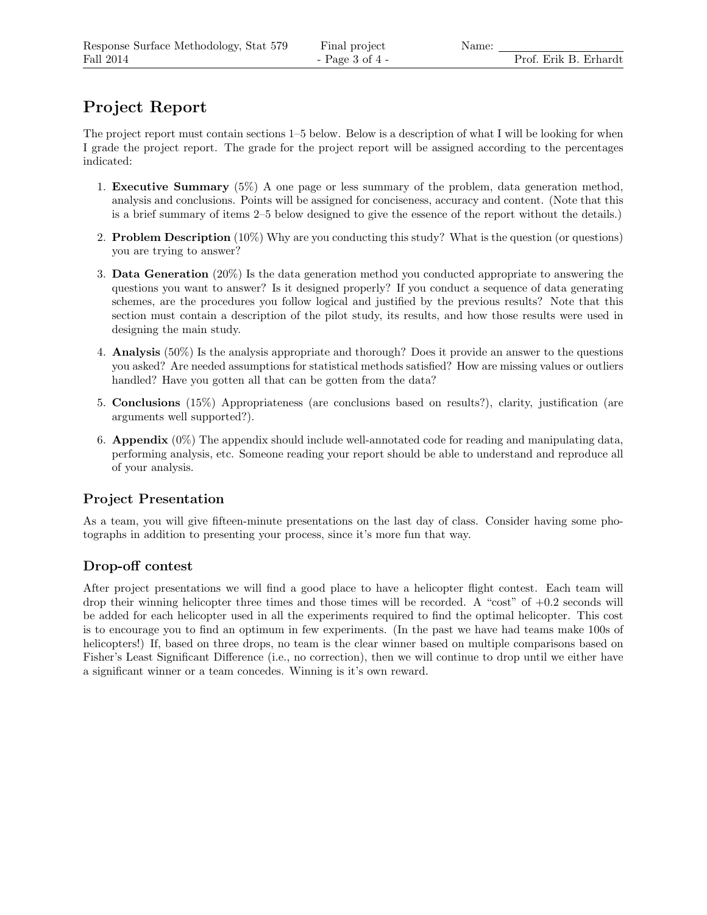# Project Report

The project report must contain sections 1–5 below. Below is a description of what I will be looking for when I grade the project report. The grade for the project report will be assigned according to the percentages indicated:

- 1. Executive Summary (5%) A one page or less summary of the problem, data generation method, analysis and conclusions. Points will be assigned for conciseness, accuracy and content. (Note that this is a brief summary of items 2–5 below designed to give the essence of the report without the details.)
- 2. Problem Description (10%) Why are you conducting this study? What is the question (or questions) you are trying to answer?
- 3. Data Generation (20%) Is the data generation method you conducted appropriate to answering the questions you want to answer? Is it designed properly? If you conduct a sequence of data generating schemes, are the procedures you follow logical and justified by the previous results? Note that this section must contain a description of the pilot study, its results, and how those results were used in designing the main study.
- 4. Analysis (50%) Is the analysis appropriate and thorough? Does it provide an answer to the questions you asked? Are needed assumptions for statistical methods satisfied? How are missing values or outliers handled? Have you gotten all that can be gotten from the data?
- 5. Conclusions (15%) Appropriateness (are conclusions based on results?), clarity, justification (are arguments well supported?).
- 6. **Appendix**  $(0\%)$  The appendix should include well-annotated code for reading and manipulating data, performing analysis, etc. Someone reading your report should be able to understand and reproduce all of your analysis.

### Project Presentation

As a team, you will give fifteen-minute presentations on the last day of class. Consider having some photographs in addition to presenting your process, since it's more fun that way.

### Drop-off contest

After project presentations we will find a good place to have a helicopter flight contest. Each team will drop their winning helicopter three times and those times will be recorded. A "cost" of +0.2 seconds will be added for each helicopter used in all the experiments required to find the optimal helicopter. This cost is to encourage you to find an optimum in few experiments. (In the past we have had teams make 100s of helicopters!) If, based on three drops, no team is the clear winner based on multiple comparisons based on Fisher's Least Significant Difference (i.e., no correction), then we will continue to drop until we either have a significant winner or a team concedes. Winning is it's own reward.